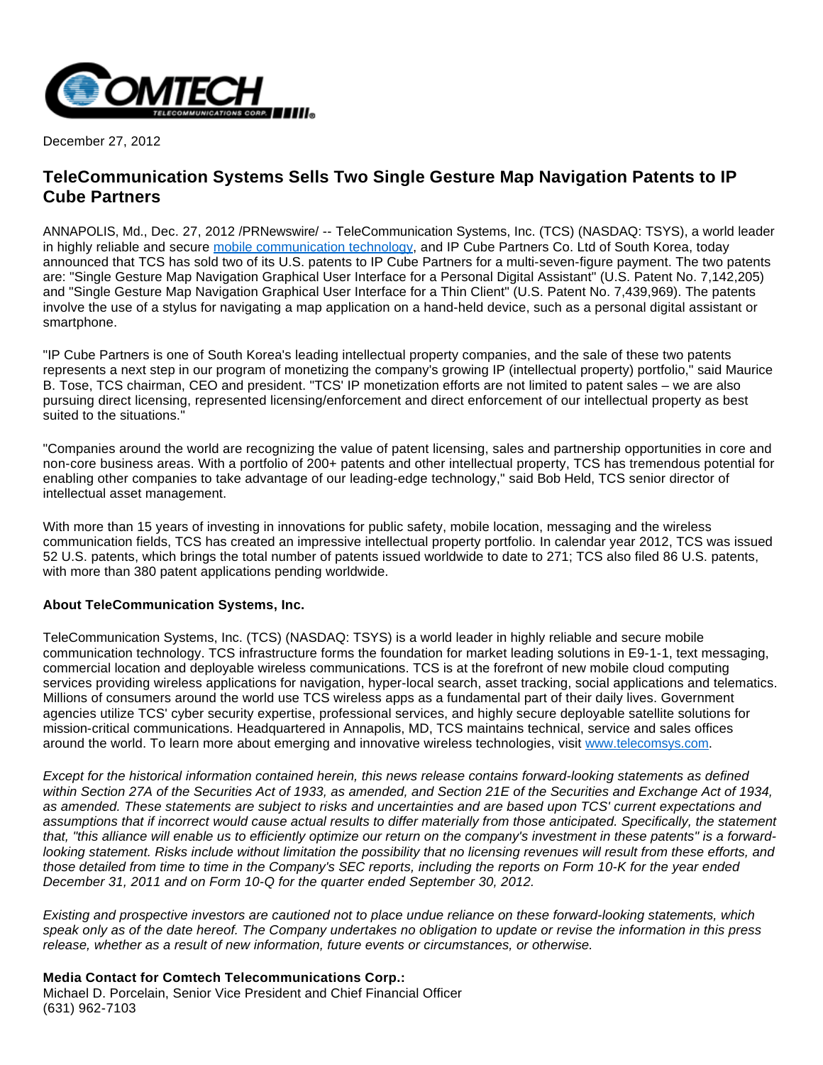

December 27, 2012

## **TeleCommunication Systems Sells Two Single Gesture Map Navigation Patents to IP Cube Partners**

ANNAPOLIS, Md., Dec. 27, 2012 /PRNewswire/ -- TeleCommunication Systems, Inc. (TCS) (NASDAQ: TSYS), a world leader in highly reliable and secure [mobile communication technology](http://www.telecomsys.com/), and IP Cube Partners Co. Ltd of South Korea, today announced that TCS has sold two of its U.S. patents to IP Cube Partners for a multi-seven-figure payment. The two patents are: "Single Gesture Map Navigation Graphical User Interface for a Personal Digital Assistant" (U.S. Patent No. 7,142,205) and "Single Gesture Map Navigation Graphical User Interface for a Thin Client" (U.S. Patent No. 7,439,969). The patents involve the use of a stylus for navigating a map application on a hand-held device, such as a personal digital assistant or smartphone.

"IP Cube Partners is one of South Korea's leading intellectual property companies, and the sale of these two patents represents a next step in our program of monetizing the company's growing IP (intellectual property) portfolio," said Maurice B. Tose, TCS chairman, CEO and president. "TCS' IP monetization efforts are not limited to patent sales – we are also pursuing direct licensing, represented licensing/enforcement and direct enforcement of our intellectual property as best suited to the situations."

"Companies around the world are recognizing the value of patent licensing, sales and partnership opportunities in core and non-core business areas. With a portfolio of 200+ patents and other intellectual property, TCS has tremendous potential for enabling other companies to take advantage of our leading-edge technology," said Bob Held, TCS senior director of intellectual asset management.

With more than 15 years of investing in innovations for public safety, mobile location, messaging and the wireless communication fields, TCS has created an impressive intellectual property portfolio. In calendar year 2012, TCS was issued 52 U.S. patents, which brings the total number of patents issued worldwide to date to 271; TCS also filed 86 U.S. patents, with more than 380 patent applications pending worldwide.

## **About TeleCommunication Systems, Inc.**

TeleCommunication Systems, Inc. (TCS) (NASDAQ: TSYS) is a world leader in highly reliable and secure mobile communication technology. TCS infrastructure forms the foundation for market leading solutions in E9-1-1, text messaging, commercial location and deployable wireless communications. TCS is at the forefront of new mobile cloud computing services providing wireless applications for navigation, hyper-local search, asset tracking, social applications and telematics. Millions of consumers around the world use TCS wireless apps as a fundamental part of their daily lives. Government agencies utilize TCS' cyber security expertise, professional services, and highly secure deployable satellite solutions for mission-critical communications. Headquartered in Annapolis, MD, TCS maintains technical, service and sales offices around the world. To learn more about emerging and innovative wireless technologies, visit [www.telecomsys.com](http://www.telecomsys.com/).

Except for the historical information contained herein, this news release contains forward-looking statements as defined within Section 27A of the Securities Act of 1933, as amended, and Section 21E of the Securities and Exchange Act of 1934, as amended. These statements are subject to risks and uncertainties and are based upon TCS' current expectations and assumptions that if incorrect would cause actual results to differ materially from those anticipated. Specifically, the statement that, "this alliance will enable us to efficiently optimize our return on the company's investment in these patents" is a forwardlooking statement. Risks include without limitation the possibility that no licensing revenues will result from these efforts, and those detailed from time to time in the Company's SEC reports, including the reports on Form 10-K for the year ended December 31, 2011 and on Form 10-Q for the quarter ended September 30, 2012.

Existing and prospective investors are cautioned not to place undue reliance on these forward-looking statements, which speak only as of the date hereof. The Company undertakes no obligation to update or revise the information in this press release, whether as a result of new information, future events or circumstances, or otherwise.

**Media Contact for Comtech Telecommunications Corp.:** Michael D. Porcelain, Senior Vice President and Chief Financial Officer [\(631\) 962-7103](mailto:Info@comtechtel.com)